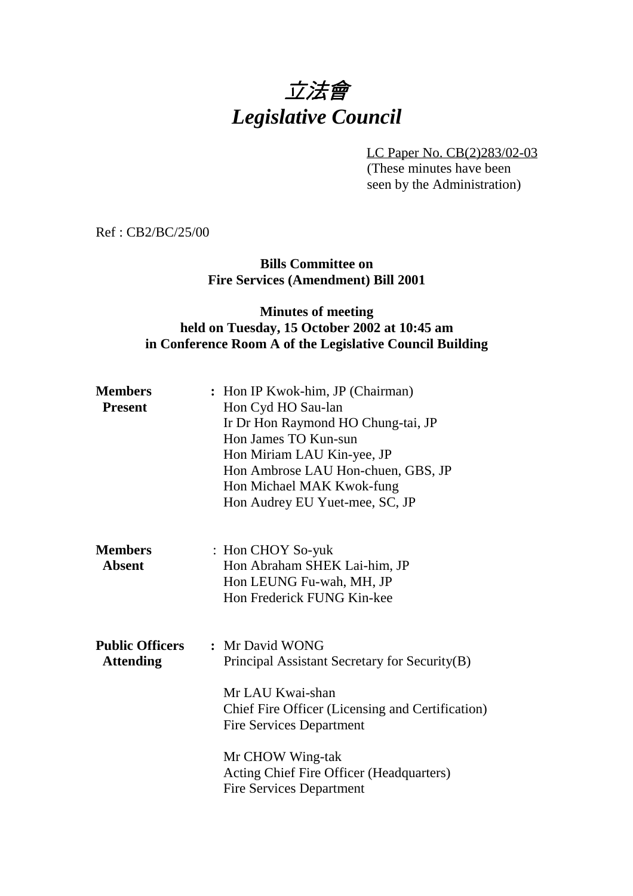# 立法會 *Legislative Council*

LC Paper No. CB(2)283/02-03 (These minutes have been

seen by the Administration)

Ref : CB2/BC/25/00

**Bills Committee on Fire Services (Amendment) Bill 2001**

#### **Minutes of meeting held on Tuesday, 15 October 2002 at 10:45 am in Conference Room A of the Legislative Council Building**

| <b>Members</b><br><b>Present</b>           | : Hon IP Kwok-him, JP (Chairman)<br>Hon Cyd HO Sau-lan<br>Ir Dr Hon Raymond HO Chung-tai, JP<br>Hon James TO Kun-sun<br>Hon Miriam LAU Kin-yee, JP<br>Hon Ambrose LAU Hon-chuen, GBS, JP<br>Hon Michael MAK Kwok-fung<br>Hon Audrey EU Yuet-mee, SC, JP                        |
|--------------------------------------------|--------------------------------------------------------------------------------------------------------------------------------------------------------------------------------------------------------------------------------------------------------------------------------|
| <b>Members</b><br><b>Absent</b>            | : Hon CHOY So-yuk<br>Hon Abraham SHEK Lai-him, JP<br>Hon LEUNG Fu-wah, MH, JP<br>Hon Frederick FUNG Kin-kee                                                                                                                                                                    |
| <b>Public Officers</b><br><b>Attending</b> | : Mr David WONG<br>Principal Assistant Secretary for Security(B)<br>Mr LAU Kwai-shan<br>Chief Fire Officer (Licensing and Certification)<br><b>Fire Services Department</b><br>Mr CHOW Wing-tak<br>Acting Chief Fire Officer (Headquarters)<br><b>Fire Services Department</b> |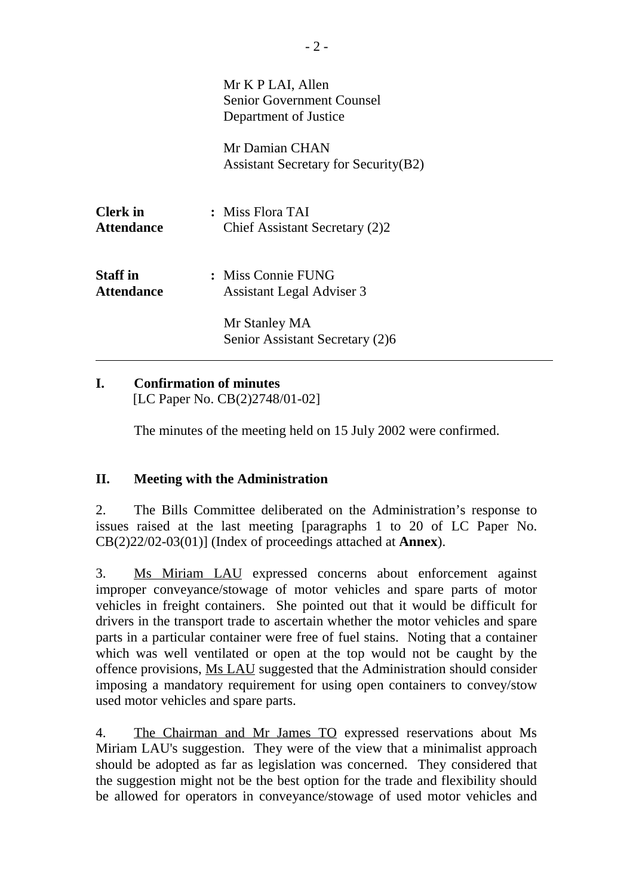|                                      | Mr K P LAI, Allen<br><b>Senior Government Counsel</b><br>Department of Justice |
|--------------------------------------|--------------------------------------------------------------------------------|
|                                      | Mr Damian CHAN<br><b>Assistant Secretary for Security (B2)</b>                 |
| <b>Clerk</b> in<br><b>Attendance</b> | : Miss Flora TAI<br>Chief Assistant Secretary (2)2                             |
| <b>Staff</b> in<br><b>Attendance</b> | : Miss Connie FUNG<br><b>Assistant Legal Adviser 3</b>                         |
|                                      | Mr Stanley MA<br>Senior Assistant Secretary (2)6                               |

## **I. Confirmation of minutes**

[LC Paper No. CB(2)2748/01-02]

The minutes of the meeting held on 15 July 2002 were confirmed.

### **II. Meeting with the Administration**

2. The Bills Committee deliberated on the Administration's response to issues raised at the last meeting [paragraphs 1 to 20 of LC Paper No. CB(2)22/02-03(01)] (Index of proceedings attached at **Annex**).

3. Ms Miriam LAU expressed concerns about enforcement against improper conveyance/stowage of motor vehicles and spare parts of motor vehicles in freight containers. She pointed out that it would be difficult for drivers in the transport trade to ascertain whether the motor vehicles and spare parts in a particular container were free of fuel stains. Noting that a container which was well ventilated or open at the top would not be caught by the offence provisions, Ms LAU suggested that the Administration should consider imposing a mandatory requirement for using open containers to convey/stow used motor vehicles and spare parts.

4. The Chairman and Mr James TO expressed reservations about Ms Miriam LAU's suggestion. They were of the view that a minimalist approach should be adopted as far as legislation was concerned. They considered that the suggestion might not be the best option for the trade and flexibility should be allowed for operators in conveyance/stowage of used motor vehicles and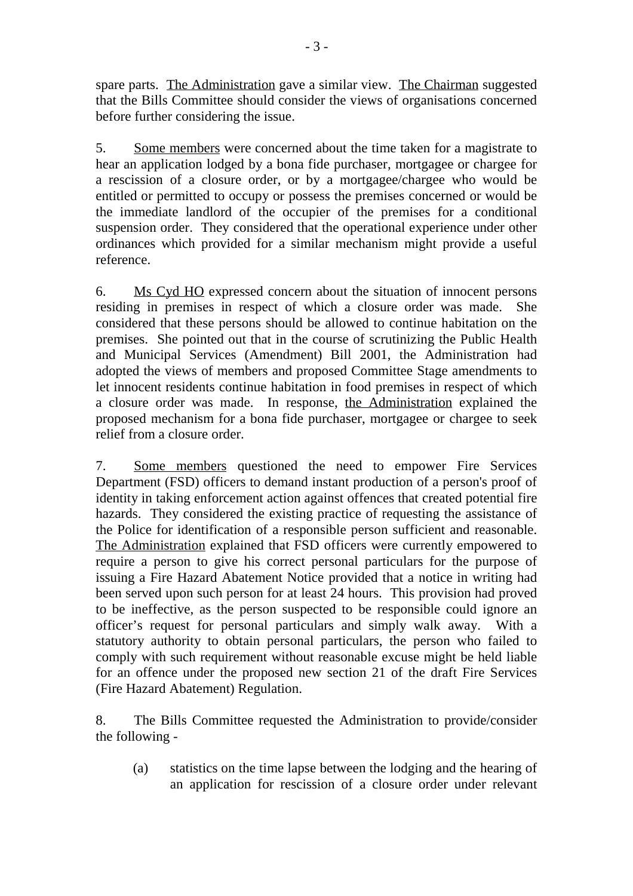spare parts. The Administration gave a similar view. The Chairman suggested that the Bills Committee should consider the views of organisations concerned before further considering the issue.

5. Some members were concerned about the time taken for a magistrate to hear an application lodged by a bona fide purchaser, mortgagee or chargee for a rescission of a closure order, or by a mortgagee/chargee who would be entitled or permitted to occupy or possess the premises concerned or would be the immediate landlord of the occupier of the premises for a conditional suspension order. They considered that the operational experience under other ordinances which provided for a similar mechanism might provide a useful reference.

6. Ms Cyd HO expressed concern about the situation of innocent persons residing in premises in respect of which a closure order was made. She considered that these persons should be allowed to continue habitation on the premises. She pointed out that in the course of scrutinizing the Public Health and Municipal Services (Amendment) Bill 2001, the Administration had adopted the views of members and proposed Committee Stage amendments to let innocent residents continue habitation in food premises in respect of which a closure order was made. In response, the Administration explained the proposed mechanism for a bona fide purchaser, mortgagee or chargee to seek relief from a closure order.

7. Some members questioned the need to empower Fire Services Department (FSD) officers to demand instant production of a person's proof of identity in taking enforcement action against offences that created potential fire hazards. They considered the existing practice of requesting the assistance of the Police for identification of a responsible person sufficient and reasonable. The Administration explained that FSD officers were currently empowered to require a person to give his correct personal particulars for the purpose of issuing a Fire Hazard Abatement Notice provided that a notice in writing had been served upon such person for at least 24 hours. This provision had proved to be ineffective, as the person suspected to be responsible could ignore an officer's request for personal particulars and simply walk away. With a statutory authority to obtain personal particulars, the person who failed to comply with such requirement without reasonable excuse might be held liable for an offence under the proposed new section 21 of the draft Fire Services (Fire Hazard Abatement) Regulation.

8. The Bills Committee requested the Administration to provide/consider the following -

(a) statistics on the time lapse between the lodging and the hearing of an application for rescission of a closure order under relevant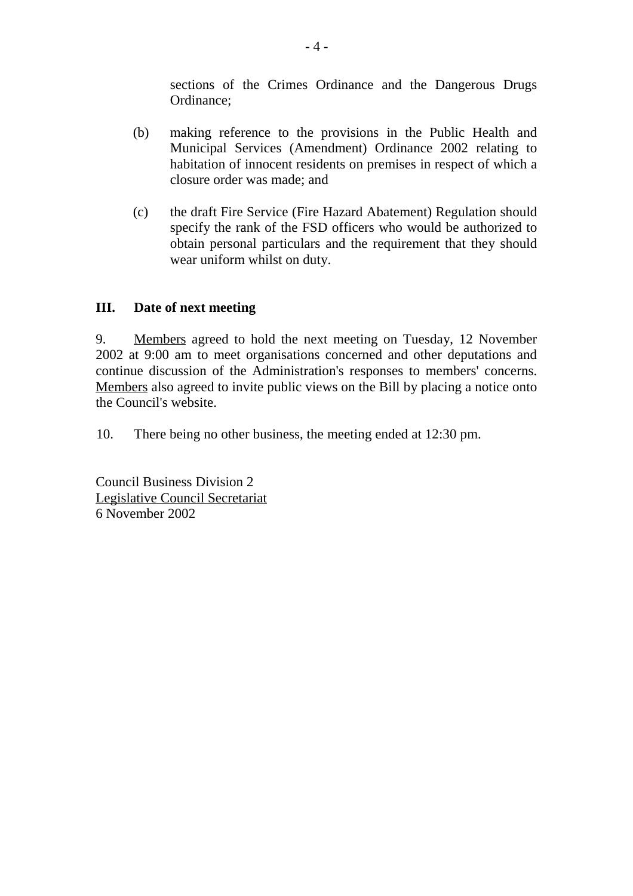sections of the Crimes Ordinance and the Dangerous Drugs Ordinance;

- (b) making reference to the provisions in the Public Health and Municipal Services (Amendment) Ordinance 2002 relating to habitation of innocent residents on premises in respect of which a closure order was made; and
- (c) the draft Fire Service (Fire Hazard Abatement) Regulation should specify the rank of the FSD officers who would be authorized to obtain personal particulars and the requirement that they should wear uniform whilst on duty.

#### **III. Date of next meeting**

9. Members agreed to hold the next meeting on Tuesday, 12 November 2002 at 9:00 am to meet organisations concerned and other deputations and continue discussion of the Administration's responses to members' concerns. Members also agreed to invite public views on the Bill by placing a notice onto the Council's website.

10. There being no other business, the meeting ended at 12:30 pm.

Council Business Division 2 Legislative Council Secretariat 6 November 2002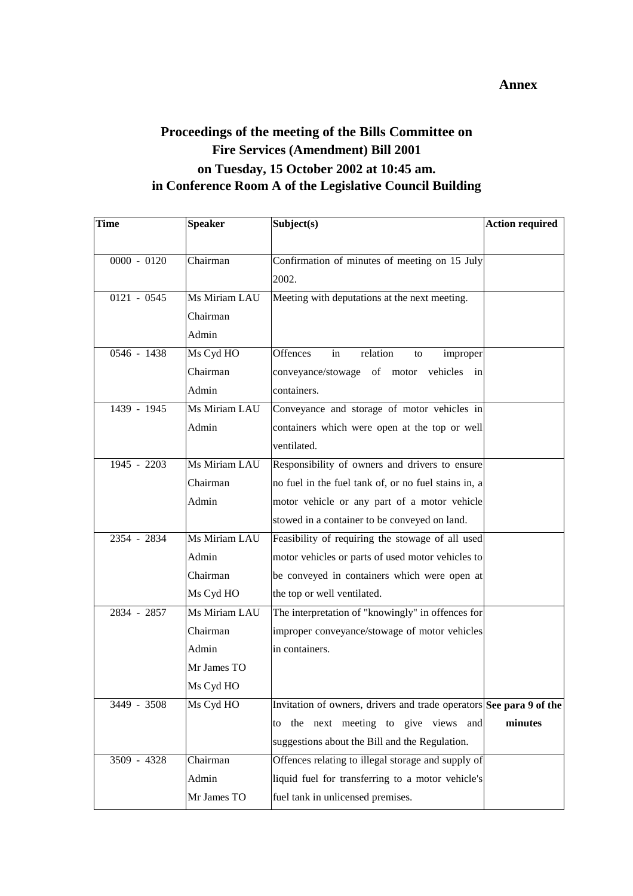# **Proceedings of the meeting of the Bills Committee on Fire Services (Amendment) Bill 2001 on Tuesday, 15 October 2002 at 10:45 am. in Conference Room A of the Legislative Council Building**

| <b>Time</b>   | <b>Speaker</b> | Subject(s)                                                          | <b>Action required</b> |
|---------------|----------------|---------------------------------------------------------------------|------------------------|
|               |                |                                                                     |                        |
| $0000 - 0120$ | Chairman       | Confirmation of minutes of meeting on 15 July                       |                        |
|               |                | 2002.                                                               |                        |
| $0121 - 0545$ | Ms Miriam LAU  | Meeting with deputations at the next meeting.                       |                        |
|               | Chairman       |                                                                     |                        |
|               | Admin          |                                                                     |                        |
| 0546 - 1438   | Ms Cyd HO      | Offences<br>relation<br>improper<br>in<br>to                        |                        |
|               | Chairman       | conveyance/stowage of motor vehicles in                             |                        |
|               | Admin          | containers.                                                         |                        |
| 1439 - 1945   | Ms Miriam LAU  | Conveyance and storage of motor vehicles in                         |                        |
|               | Admin          | containers which were open at the top or well                       |                        |
|               |                | ventilated.                                                         |                        |
| 1945 - 2203   | Ms Miriam LAU  | Responsibility of owners and drivers to ensure                      |                        |
|               | Chairman       | no fuel in the fuel tank of, or no fuel stains in, a                |                        |
|               | Admin          | motor vehicle or any part of a motor vehicle                        |                        |
|               |                | stowed in a container to be conveyed on land.                       |                        |
| 2354 - 2834   | Ms Miriam LAU  | Feasibility of requiring the stowage of all used                    |                        |
|               | Admin          | motor vehicles or parts of used motor vehicles to                   |                        |
|               | Chairman       | be conveyed in containers which were open at                        |                        |
|               | Ms Cyd HO      | the top or well ventilated.                                         |                        |
| 2834 - 2857   | Ms Miriam LAU  | The interpretation of "knowingly" in offences for                   |                        |
|               | Chairman       | improper conveyance/stowage of motor vehicles                       |                        |
|               | Admin          | in containers.                                                      |                        |
|               | Mr James TO    |                                                                     |                        |
|               | Ms Cyd HO      |                                                                     |                        |
| 3449 - 3508   | Ms Cyd HO      | Invitation of owners, drivers and trade operators See para 9 of the |                        |
|               |                | to the next meeting to give views and                               | minutes                |
|               |                | suggestions about the Bill and the Regulation.                      |                        |
| $3509 - 4328$ | Chairman       | Offences relating to illegal storage and supply of                  |                        |
|               | Admin          | liquid fuel for transferring to a motor vehicle's                   |                        |
|               | Mr James TO    | fuel tank in unlicensed premises.                                   |                        |